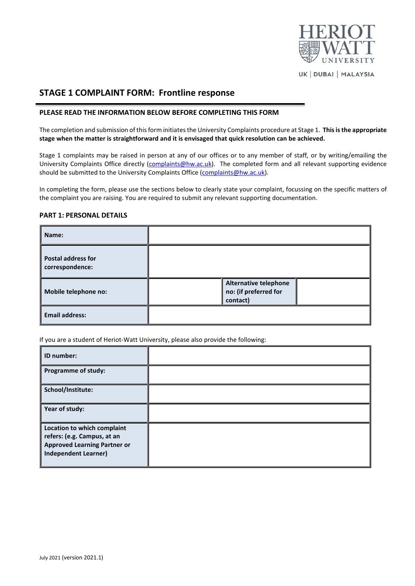

UK | DUBAI | MALAYSIA

# **STAGE 1 COMPLAINT FORM: Frontline response**

#### **PLEASE READ THE INFORMATION BELOW BEFORE COMPLETING THIS FORM**

The completion and submission of this form initiates the University Complaints procedure at Stage 1. **This is the appropriate stage when the matter is straightforward and it is envisaged that quick resolution can be achieved.**

Stage 1 complaints may be raised in person at any of our offices or to any member of staff*,* or by writing/emailing the University Complaints Office directly [\(complaints@hw.ac.uk\)](mailto:complaints@hw.ac.uk). The completed form and all relevant supporting evidence should be submitted to the University Complaints Office [\(complaints@hw.ac.uk\)](mailto:complaints@hw.ac.uk).

In completing the form, please use the sections below to clearly state your complaint, focussing on the specific matters of the complaint you are raising. You are required to submit any relevant supporting documentation.

#### **PART 1: PERSONAL DETAILS**

| Name:                                        |                                                                   |  |
|----------------------------------------------|-------------------------------------------------------------------|--|
| <b>Postal address for</b><br>correspondence: |                                                                   |  |
| Mobile telephone no:                         | <b>Alternative telephone</b><br>no: (if preferred for<br>contact) |  |
| <b>Email address:</b>                        |                                                                   |  |

If you are a student of Heriot-Watt University, please also provide the following:

| ID number:                                                                                                                       |  |
|----------------------------------------------------------------------------------------------------------------------------------|--|
| Programme of study:                                                                                                              |  |
| School/Institute:                                                                                                                |  |
| Year of study:                                                                                                                   |  |
| Location to which complaint<br>refers: (e.g. Campus, at an<br><b>Approved Learning Partner or</b><br><b>Independent Learner)</b> |  |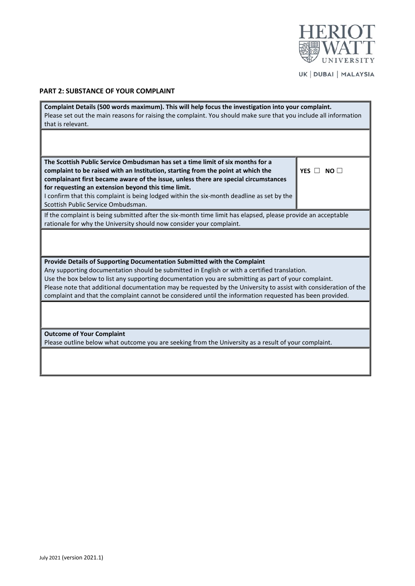

UK | DUBAI | MALAYSIA

ï

## **PART 2: SUBSTANCE OF YOUR COMPLAINT**

i.

| Complaint Details (500 words maximum). This will help focus the investigation into your complaint.<br>Please set out the main reasons for raising the complaint. You should make sure that you include all information |                      |  |  |
|------------------------------------------------------------------------------------------------------------------------------------------------------------------------------------------------------------------------|----------------------|--|--|
| that is relevant.                                                                                                                                                                                                      |                      |  |  |
|                                                                                                                                                                                                                        |                      |  |  |
|                                                                                                                                                                                                                        |                      |  |  |
| The Scottish Public Service Ombudsman has set a time limit of six months for a                                                                                                                                         |                      |  |  |
| complaint to be raised with an Institution, starting from the point at which the                                                                                                                                       | YES $\Box$ NO $\Box$ |  |  |
| complainant first became aware of the issue, unless there are special circumstances                                                                                                                                    |                      |  |  |
| for requesting an extension beyond this time limit.                                                                                                                                                                    |                      |  |  |
| I confirm that this complaint is being lodged within the six-month deadline as set by the<br>Scottish Public Service Ombudsman.                                                                                        |                      |  |  |
|                                                                                                                                                                                                                        |                      |  |  |
| If the complaint is being submitted after the six-month time limit has elapsed, please provide an acceptable<br>rationale for why the University should now consider your complaint.                                   |                      |  |  |
|                                                                                                                                                                                                                        |                      |  |  |
|                                                                                                                                                                                                                        |                      |  |  |
|                                                                                                                                                                                                                        |                      |  |  |
| Provide Details of Supporting Documentation Submitted with the Complaint                                                                                                                                               |                      |  |  |
| Any supporting documentation should be submitted in English or with a certified translation.                                                                                                                           |                      |  |  |
| Use the box below to list any supporting documentation you are submitting as part of your complaint.                                                                                                                   |                      |  |  |
| Please note that additional documentation may be requested by the University to assist with consideration of the                                                                                                       |                      |  |  |
| complaint and that the complaint cannot be considered until the information requested has been provided.                                                                                                               |                      |  |  |
|                                                                                                                                                                                                                        |                      |  |  |
|                                                                                                                                                                                                                        |                      |  |  |
| <b>Outcome of Your Complaint</b>                                                                                                                                                                                       |                      |  |  |
| Please outline below what outcome you are seeking from the University as a result of your complaint.                                                                                                                   |                      |  |  |
|                                                                                                                                                                                                                        |                      |  |  |
|                                                                                                                                                                                                                        |                      |  |  |
|                                                                                                                                                                                                                        |                      |  |  |